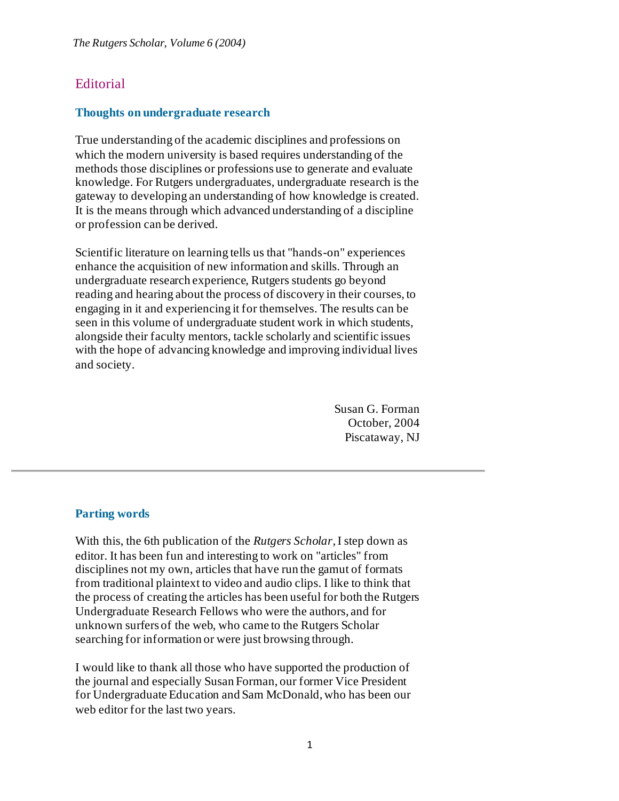## **Editorial**

## **Thoughts on undergraduate research**

True understanding of the academic disciplines and professions on which the modern university is based requires understanding of the methods those disciplines or professions use to generate and evaluate knowledge. For Rutgers undergraduates, undergraduate research is the gateway to developing an understanding of how knowledge is created. It is the means through which advanced understanding of a discipline or profession can be derived.

Scientific literature on learning tells us that "hands-on" experiences enhance the acquisition of new information and skills. Through an undergraduate research experience, Rutgers students go beyond reading and hearing about the process of discovery in their courses, to engaging in it and experiencing it for themselves. The results can be seen in this volume of undergraduate student work in which students, alongside their faculty mentors, tackle scholarly and scientific issues with the hope of advancing knowledge and improving individual lives and society.

> Susan G. Forman October, 2004 Piscataway, NJ

## **Parting words**

With this, the 6th publication of the *Rutgers Scholar*, I step down as editor. It has been fun and interesting to work on "articles" from disciplines not my own, articles that have run the gamut of formats from traditional plaintext to video and audio clips. I like to think that the process of creating the articles has been useful for both the Rutgers Undergraduate Research Fellows who were the authors, and for unknown surfers of the web, who came to the Rutgers Scholar searching for information or were just browsing through.

I would like to thank all those who have supported the production of the journal and especially Susan Forman, our former Vice President for Undergraduate Education and Sam McDonald, who has been our web editor for the last two years.